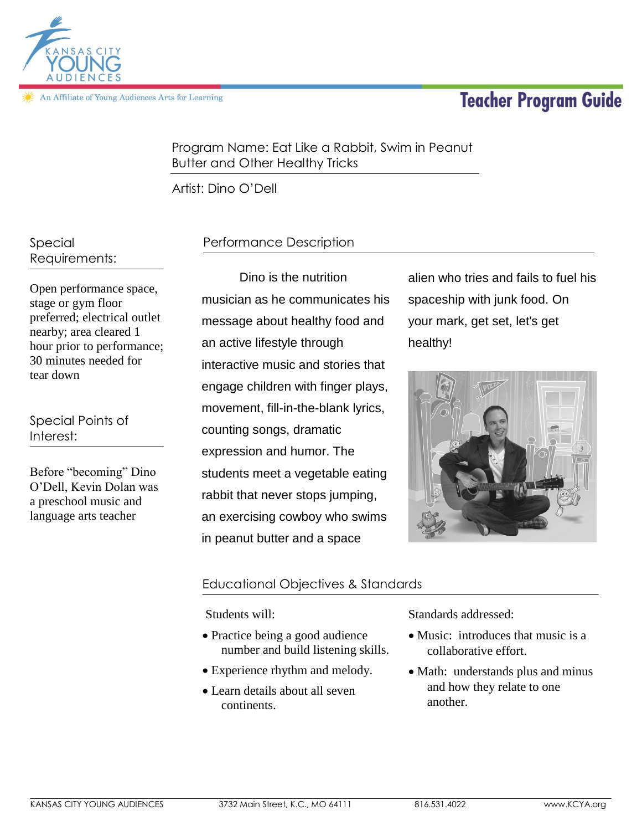# **Teacher Program Guide**



An Affiliate of Young Audiences Arts for Learning

Program Name: Eat Like a Rabbit, Swim in Peanut Butter and Other Healthy Tricks

Artist: Dino O'Dell

Special Requirements:

Open performance space, stage or gym floor preferred; electrical outlet nearby; area cleared 1 hour prior to performance; 30 minutes needed for tear down

Special Points of Interest:

Before "becoming" Dino O'Dell, Kevin Dolan was a preschool music and language arts teacher

# Performance Description

Dino is the nutrition musician as he communicates his message about healthy food and an active lifestyle through interactive music and stories that engage children with finger plays, movement, fill-in-the-blank lyrics, counting songs, dramatic expression and humor. The students meet a vegetable eating rabbit that never stops jumping, an exercising cowboy who swims in peanut butter and a space

alien who tries and fails to fuel his spaceship with junk food. On your mark, get set, let's get healthy!



## Educational Objectives & Standards

Students will:

- Practice being a good audience number and build listening skills.
- Experience rhythm and melody.
- Learn details about all seven continents.

Standards addressed:

- Music: introduces that music is a collaborative effort.
- Math: understands plus and minus and how they relate to one another.